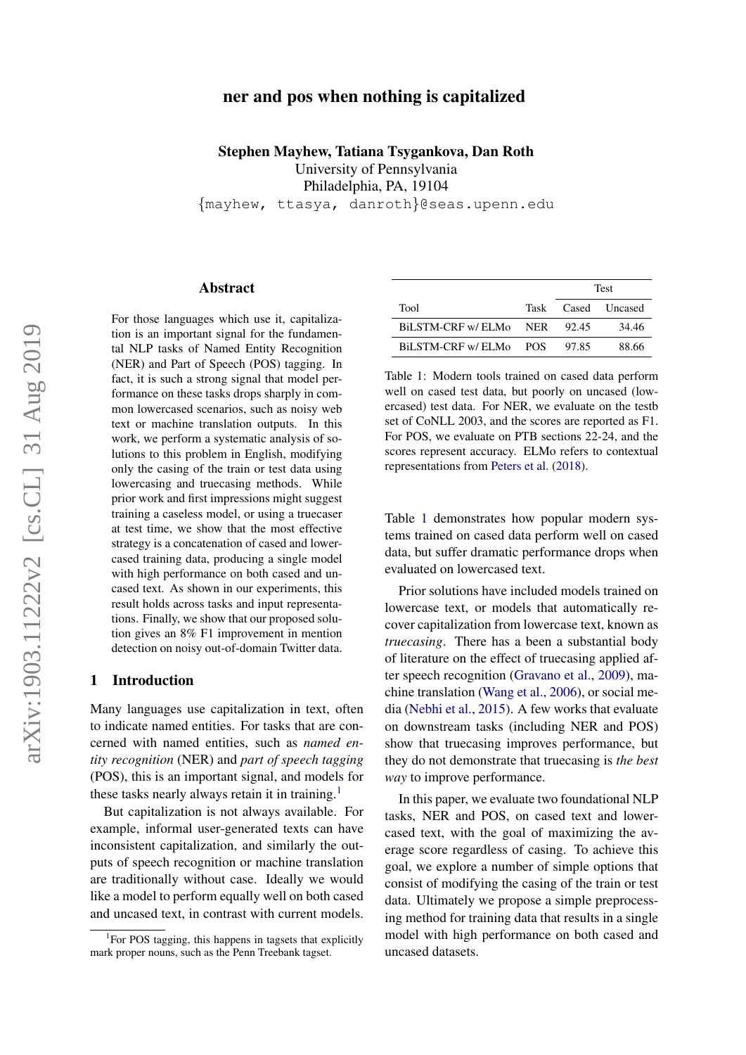# arXiv:1903.11222v2 [cs.CL] 31 Aug 2019 arXiv:1903.11222v2 [cs.CL] 31 Aug 2019

# ner and pos when nothing is capitalized

Stephen Mayhew, Tatiana Tsygankova, Dan Roth University of Pennsylvania Philadelphia, PA, 19104 {mayhew, ttasya, danroth}@seas.upenn.edu

Abstract

For those languages which use it, capitalization is an important signal for the fundamental NLP tasks of Named Entity Recognition (NER) and Part of Speech (POS) tagging. In fact, it is such a strong signal that model performance on these tasks drops sharply in common lowercased scenarios, such as noisy web text or machine translation outputs. In this work, we perform a systematic analysis of solutions to this problem in English, modifying only the casing of the train or test data using lowercasing and truecasing methods. While prior work and first impressions might suggest training a caseless model, or using a truecaser at test time, we show that the most effective strategy is a concatenation of cased and lowercased training data, producing a single model with high performance on both cased and uncased text. As shown in our experiments, this result holds across tasks and input representations. Finally, we show that our proposed solution gives an 8% F1 improvement in mention detection on noisy out-of-domain Twitter data.

### 1 Introduction

Many languages use capitalization in text, often to indicate named entities. For tasks that are concerned with named entities, such as *named entity recognition* (NER) and *part of speech tagging* (POS), this is an important signal, and models for these tasks nearly always retain it in training.<sup>[1](#page-0-0)</sup>

But capitalization is not always available. For example, informal user-generated texts can have inconsistent capitalization, and similarly the outputs of speech recognition or machine translation are traditionally without case. Ideally we would like a model to perform equally well on both cased and uncased text, in contrast with current models.

<span id="page-0-1"></span>

|                        | <b>Test</b> |                    |
|------------------------|-------------|--------------------|
| Tool                   |             | Task Cased Uncased |
| BILSTM-CRF w/ ELMo NER | - 92.45     | 34.46              |
| BILSTM-CRF w/ ELMo POS | 97.85       | 88.66              |

Table 1: Modern tools trained on cased data perform well on cased test data, but poorly on uncased (lowercased) test data. For NER, we evaluate on the testb set of CoNLL 2003, and the scores are reported as F1. For POS, we evaluate on PTB sections 22-24, and the scores represent accuracy. ELMo refers to contextual representations from [Peters et al.](#page-5-0) [\(2018\)](#page-5-0).

Table [1](#page-0-1) demonstrates how popular modern systems trained on cased data perform well on cased data, but suffer dramatic performance drops when evaluated on lowercased text.

Prior solutions have included models trained on lowercase text, or models that automatically recover capitalization from lowercase text, known as *truecasing*. There has a been a substantial body of literature on the effect of truecasing applied after speech recognition [\(Gravano et al.,](#page-4-0) [2009\)](#page-4-0), machine translation [\(Wang et al.,](#page-5-1) [2006\)](#page-5-1), or social media [\(Nebhi et al.,](#page-5-2) [2015\)](#page-5-2). A few works that evaluate on downstream tasks (including NER and POS) show that truecasing improves performance, but they do not demonstrate that truecasing is *the best way* to improve performance.

In this paper, we evaluate two foundational NLP tasks, NER and POS, on cased text and lowercased text, with the goal of maximizing the average score regardless of casing. To achieve this goal, we explore a number of simple options that consist of modifying the casing of the train or test data. Ultimately we propose a simple preprocessing method for training data that results in a single model with high performance on both cased and uncased datasets.

<span id="page-0-0"></span><sup>&</sup>lt;sup>1</sup>For POS tagging, this happens in tagsets that explicitly mark proper nouns, such as the Penn Treebank tagset.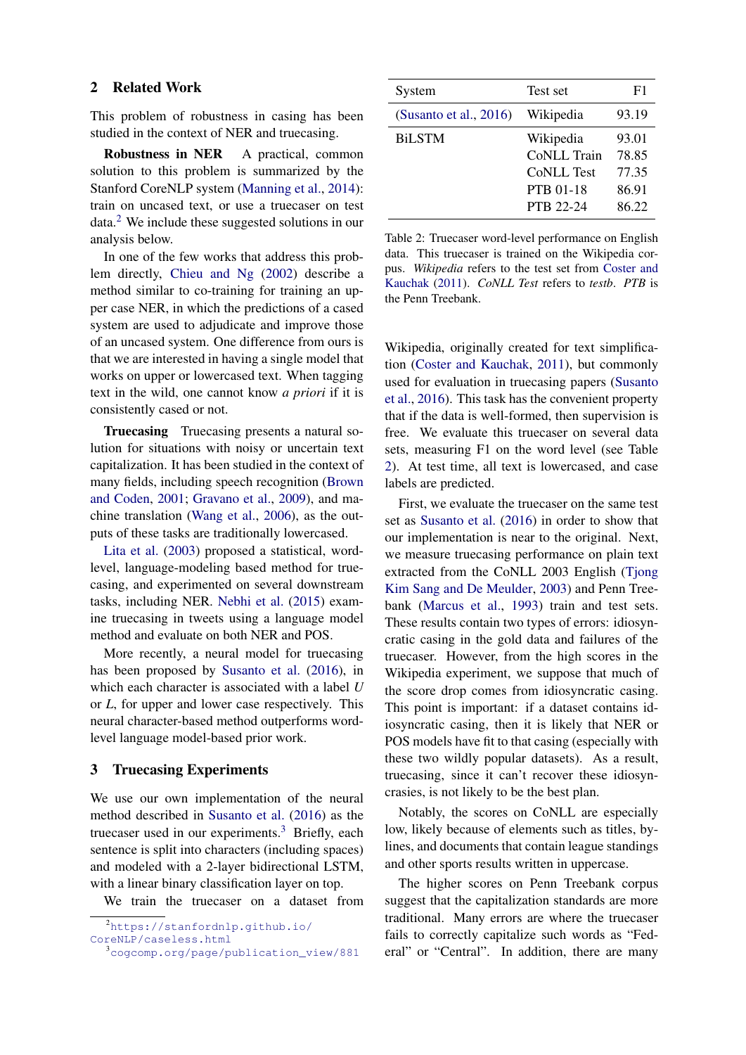### 2 Related Work

This problem of robustness in casing has been studied in the context of NER and truecasing.

Robustness in NER A practical, common solution to this problem is summarized by the Stanford CoreNLP system [\(Manning et al.,](#page-4-1) [2014\)](#page-4-1): train on uncased text, or use a truecaser on test data.[2](#page-1-0) We include these suggested solutions in our analysis below.

In one of the few works that address this problem directly, [Chieu and Ng](#page-4-2) [\(2002\)](#page-4-2) describe a method similar to co-training for training an upper case NER, in which the predictions of a cased system are used to adjudicate and improve those of an uncased system. One difference from ours is that we are interested in having a single model that works on upper or lowercased text. When tagging text in the wild, one cannot know *a priori* if it is consistently cased or not.

Truecasing Truecasing presents a natural solution for situations with noisy or uncertain text capitalization. It has been studied in the context of many fields, including speech recognition [\(Brown](#page-4-3) [and Coden,](#page-4-3) [2001;](#page-4-3) [Gravano et al.,](#page-4-0) [2009\)](#page-4-0), and machine translation [\(Wang et al.,](#page-5-1) [2006\)](#page-5-1), as the outputs of these tasks are traditionally lowercased.

[Lita et al.](#page-4-4) [\(2003\)](#page-4-4) proposed a statistical, wordlevel, language-modeling based method for truecasing, and experimented on several downstream tasks, including NER. [Nebhi et al.](#page-5-2) [\(2015\)](#page-5-2) examine truecasing in tweets using a language model method and evaluate on both NER and POS.

More recently, a neural model for truecasing has been proposed by [Susanto et al.](#page-5-3) [\(2016\)](#page-5-3), in which each character is associated with a label *U* or *L*, for upper and lower case respectively. This neural character-based method outperforms wordlevel language model-based prior work.

### <span id="page-1-3"></span>3 Truecasing Experiments

We use our own implementation of the neural method described in [Susanto et al.](#page-5-3) [\(2016\)](#page-5-3) as the truecaser used in our experiments.<sup>[3](#page-1-1)</sup> Briefly, each sentence is split into characters (including spaces) and modeled with a 2-layer bidirectional LSTM, with a linear binary classification layer on top.

We train the truecaser on a dataset from

```
2https://stanfordnlp.github.io/
```

```
CoreNLP/caseless.html
```
<span id="page-1-2"></span>

| System                    | Test set          | F1    |
|---------------------------|-------------------|-------|
| (Susanto et al., $2016$ ) | Wikipedia         | 93.19 |
| <b>BiLSTM</b>             | Wikipedia         | 93.01 |
|                           | CoNLL Train       | 78.85 |
|                           | <b>CoNLL Test</b> | 77.35 |
|                           | <b>PTB 01-18</b>  | 86.91 |
|                           | <b>PTB 22-24</b>  | 86.22 |
|                           |                   |       |

Table 2: Truecaser word-level performance on English data. This truecaser is trained on the Wikipedia corpus. *Wikipedia* refers to the test set from [Coster and](#page-4-5) [Kauchak](#page-4-5) [\(2011\)](#page-4-5). *CoNLL Test* refers to *testb*. *PTB* is the Penn Treebank.

Wikipedia, originally created for text simplification [\(Coster and Kauchak,](#page-4-5) [2011\)](#page-4-5), but commonly used for evaluation in truecasing papers [\(Susanto](#page-5-3) [et al.,](#page-5-3) [2016\)](#page-5-3). This task has the convenient property that if the data is well-formed, then supervision is free. We evaluate this truecaser on several data sets, measuring F1 on the word level (see Table [2\)](#page-1-2). At test time, all text is lowercased, and case labels are predicted.

First, we evaluate the truecaser on the same test set as [Susanto et al.](#page-5-3) [\(2016\)](#page-5-3) in order to show that our implementation is near to the original. Next, we measure truecasing performance on plain text extracted from the CoNLL 2003 English (Tiong [Kim Sang and De Meulder,](#page-5-4) [2003\)](#page-5-4) and Penn Treebank [\(Marcus et al.,](#page-5-5) [1993\)](#page-5-5) train and test sets. These results contain two types of errors: idiosyncratic casing in the gold data and failures of the truecaser. However, from the high scores in the Wikipedia experiment, we suppose that much of the score drop comes from idiosyncratic casing. This point is important: if a dataset contains idiosyncratic casing, then it is likely that NER or POS models have fit to that casing (especially with these two wildly popular datasets). As a result, truecasing, since it can't recover these idiosyncrasies, is not likely to be the best plan.

Notably, the scores on CoNLL are especially low, likely because of elements such as titles, bylines, and documents that contain league standings and other sports results written in uppercase.

The higher scores on Penn Treebank corpus suggest that the capitalization standards are more traditional. Many errors are where the truecaser fails to correctly capitalize such words as "Federal" or "Central". In addition, there are many

<span id="page-1-1"></span><sup>3</sup>[cogcomp.org/page/publication\\_view/881](cogcomp.org/page/publication_view/881)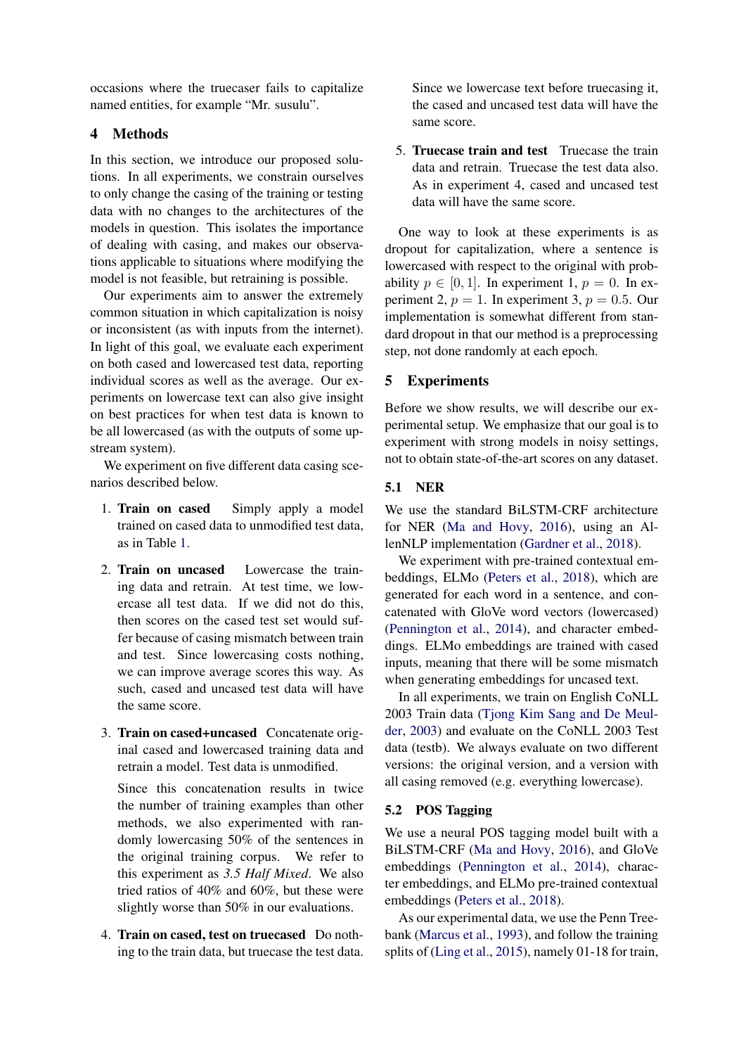occasions where the truecaser fails to capitalize named entities, for example "Mr. susulu".

# 4 Methods

In this section, we introduce our proposed solutions. In all experiments, we constrain ourselves to only change the casing of the training or testing data with no changes to the architectures of the models in question. This isolates the importance of dealing with casing, and makes our observations applicable to situations where modifying the model is not feasible, but retraining is possible.

Our experiments aim to answer the extremely common situation in which capitalization is noisy or inconsistent (as with inputs from the internet). In light of this goal, we evaluate each experiment on both cased and lowercased test data, reporting individual scores as well as the average. Our experiments on lowercase text can also give insight on best practices for when test data is known to be all lowercased (as with the outputs of some upstream system).

We experiment on five different data casing scenarios described below.

- 1. Train on cased Simply apply a model trained on cased data to unmodified test data, as in Table [1.](#page-0-1)
- 2. Train on uncased Lowercase the training data and retrain. At test time, we lowercase all test data. If we did not do this, then scores on the cased test set would suffer because of casing mismatch between train and test. Since lowercasing costs nothing, we can improve average scores this way. As such, cased and uncased test data will have the same score.
- 3. Train on cased+uncased Concatenate original cased and lowercased training data and retrain a model. Test data is unmodified.

Since this concatenation results in twice the number of training examples than other methods, we also experimented with randomly lowercasing 50% of the sentences in the original training corpus. We refer to this experiment as *3.5 Half Mixed*. We also tried ratios of 40% and 60%, but these were slightly worse than 50% in our evaluations.

4. Train on cased, test on truecased Do nothing to the train data, but truecase the test data. Since we lowercase text before truecasing it, the cased and uncased test data will have the same score.

5. Truecase train and test Truecase the train data and retrain. Truecase the test data also. As in experiment 4, cased and uncased test data will have the same score.

One way to look at these experiments is as dropout for capitalization, where a sentence is lowercased with respect to the original with probability  $p \in [0, 1]$ . In experiment 1,  $p = 0$ . In experiment 2,  $p = 1$ . In experiment 3,  $p = 0.5$ . Our implementation is somewhat different from standard dropout in that our method is a preprocessing step, not done randomly at each epoch.

## 5 Experiments

Before we show results, we will describe our experimental setup. We emphasize that our goal is to experiment with strong models in noisy settings, not to obtain state-of-the-art scores on any dataset.

### 5.1 NER

We use the standard BiLSTM-CRF architecture for NER [\(Ma and Hovy,](#page-4-6) [2016\)](#page-4-6), using an AllenNLP implementation [\(Gardner et al.,](#page-4-7) [2018\)](#page-4-7).

We experiment with pre-trained contextual embeddings, ELMo [\(Peters et al.,](#page-5-0) [2018\)](#page-5-0), which are generated for each word in a sentence, and concatenated with GloVe word vectors (lowercased) [\(Pennington et al.,](#page-5-6) [2014\)](#page-5-6), and character embeddings. ELMo embeddings are trained with cased inputs, meaning that there will be some mismatch when generating embeddings for uncased text.

In all experiments, we train on English CoNLL 2003 Train data [\(Tjong Kim Sang and De Meul](#page-5-4)[der,](#page-5-4) [2003\)](#page-5-4) and evaluate on the CoNLL 2003 Test data (testb). We always evaluate on two different versions: the original version, and a version with all casing removed (e.g. everything lowercase).

# 5.2 POS Tagging

We use a neural POS tagging model built with a BiLSTM-CRF [\(Ma and Hovy,](#page-4-6) [2016\)](#page-4-6), and GloVe embeddings [\(Pennington et al.,](#page-5-6) [2014\)](#page-5-6), character embeddings, and ELMo pre-trained contextual embeddings [\(Peters et al.,](#page-5-0) [2018\)](#page-5-0).

As our experimental data, we use the Penn Treebank [\(Marcus et al.,](#page-5-5) [1993\)](#page-5-5), and follow the training splits of [\(Ling et al.,](#page-4-8) [2015\)](#page-4-8), namely 01-18 for train,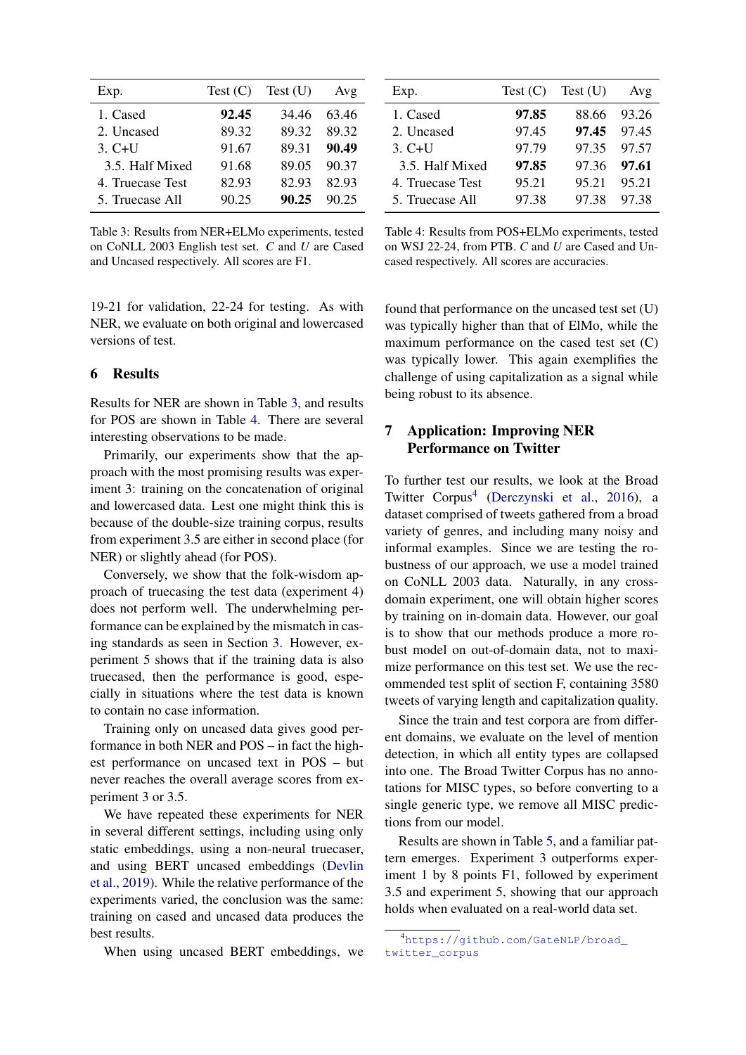<span id="page-3-0"></span>

| Exp.             | Test (C) | Test(U) | Avg   |
|------------------|----------|---------|-------|
| 1. Cased         | 92.45    | 34.46   | 63.46 |
| 2. Uncased       | 89.32    | 89.32   | 89.32 |
| $3. C+U$         | 91.67    | 89.31   | 90.49 |
| 3.5. Half Mixed  | 91.68    | 89.05   | 90.37 |
| 4. Truecase Test | 82.93    | 82.93   | 82.93 |
| 5. Truecase All  | 90.25    | 90.25   | 90.25 |

Table 3: Results from NER+ELMo experiments, tested on CoNLL 2003 English test set. *C* and *U* are Cased and Uncased respectively. All scores are F1.

19-21 for validation, 22-24 for testing. As with NER, we evaluate on both original and lowercased versions of test.

### 6 Results

Results for NER are shown in Table [3,](#page-3-0) and results for POS are shown in Table [4.](#page-3-1) There are several interesting observations to be made.

Primarily, our experiments show that the approach with the most promising results was experiment 3: training on the concatenation of original and lowercased data. Lest one might think this is because of the double-size training corpus, results from experiment 3.5 are either in second place (for NER) or slightly ahead (for POS).

Conversely, we show that the folk-wisdom approach of truecasing the test data (experiment 4) does not perform well. The underwhelming performance can be explained by the mismatch in casing standards as seen in Section [3.](#page-1-3) However, experiment 5 shows that if the training data is also truecased, then the performance is good, especially in situations where the test data is known to contain no case information.

Training only on uncased data gives good performance in both NER and POS – in fact the highest performance on uncased text in POS – but never reaches the overall average scores from experiment 3 or 3.5.

We have repeated these experiments for NER in several different settings, including using only static embeddings, using a non-neural truecaser, and using BERT uncased embeddings [\(Devlin](#page-4-9) [et al.,](#page-4-9) [2019\)](#page-4-9). While the relative performance of the experiments varied, the conclusion was the same: training on cased and uncased data produces the best results.

When using uncased BERT embeddings, we

<span id="page-3-1"></span>

| Exp.             |       | Test $(C)$ Test $(U)$ | Avg     |
|------------------|-------|-----------------------|---------|
| 1. Cased         | 97.85 | 88.66                 | - 93.26 |
| 2. Uncased       | 97.45 | 97.45 97.45           |         |
| $3. C+U$         | 97.79 | 97.35 97.57           |         |
| 3.5. Half Mixed  | 97.85 | 97.36 97.61           |         |
| 4. Truecase Test | 95.21 | 95.21                 | 95.21   |
| 5. Truecase All  | 97.38 | 97.38                 | 97.38   |

Table 4: Results from POS+ELMo experiments, tested on WSJ 22-24, from PTB. *C* and *U* are Cased and Uncased respectively. All scores are accuracies.

found that performance on the uncased test set (U) was typically higher than that of ElMo, while the maximum performance on the cased test set (C) was typically lower. This again exemplifies the challenge of using capitalization as a signal while being robust to its absence.

# 7 Application: Improving NER Performance on Twitter

To further test our results, we look at the Broad Twitter Corpus<sup>[4](#page-3-2)</sup> [\(Derczynski et al.,](#page-4-10) [2016\)](#page-4-10), a dataset comprised of tweets gathered from a broad variety of genres, and including many noisy and informal examples. Since we are testing the robustness of our approach, we use a model trained on CoNLL 2003 data. Naturally, in any crossdomain experiment, one will obtain higher scores by training on in-domain data. However, our goal is to show that our methods produce a more robust model on out-of-domain data, not to maximize performance on this test set. We use the recommended test split of section F, containing 3580 tweets of varying length and capitalization quality.

Since the train and test corpora are from different domains, we evaluate on the level of mention detection, in which all entity types are collapsed into one. The Broad Twitter Corpus has no annotations for MISC types, so before converting to a single generic type, we remove all MISC predictions from our model.

Results are shown in Table [5,](#page-4-11) and a familiar pattern emerges. Experiment 3 outperforms experiment 1 by 8 points F1, followed by experiment 3.5 and experiment 5, showing that our approach holds when evaluated on a real-world data set.

<span id="page-3-2"></span><sup>4</sup>[https://github.com/GateNLP/broad\\_](https://github.com/GateNLP/broad_twitter_corpus) [twitter\\_corpus](https://github.com/GateNLP/broad_twitter_corpus)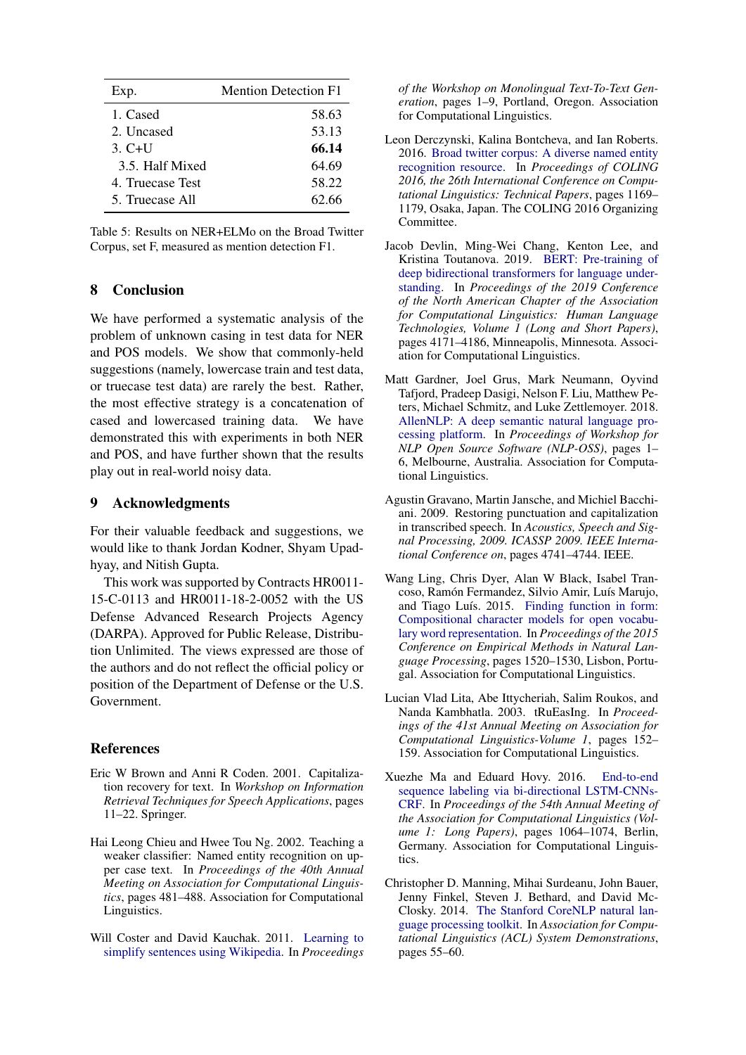<span id="page-4-11"></span>

| Exp.             | <b>Mention Detection F1</b> |
|------------------|-----------------------------|
| 1. Cased         | 58.63                       |
| 2. Uncased       | 53.13                       |
| $3. C+U$         | 66.14                       |
| 3.5. Half Mixed  | 64.69                       |
| 4. Truecase Test | 58.22                       |
| 5. Truecase All  | 62.66                       |

| Table 5: Results on NER+ELMo on the Broad Twitter |
|---------------------------------------------------|
| Corpus, set F, measured as mention detection F1.  |

# 8 Conclusion

We have performed a systematic analysis of the problem of unknown casing in test data for NER and POS models. We show that commonly-held suggestions (namely, lowercase train and test data, or truecase test data) are rarely the best. Rather, the most effective strategy is a concatenation of cased and lowercased training data. We have demonstrated this with experiments in both NER and POS, and have further shown that the results play out in real-world noisy data.

### 9 Acknowledgments

For their valuable feedback and suggestions, we would like to thank Jordan Kodner, Shyam Upadhyay, and Nitish Gupta.

This work was supported by Contracts HR0011- 15-C-0113 and HR0011-18-2-0052 with the US Defense Advanced Research Projects Agency (DARPA). Approved for Public Release, Distribution Unlimited. The views expressed are those of the authors and do not reflect the official policy or position of the Department of Defense or the U.S. Government.

### References

- <span id="page-4-3"></span>Eric W Brown and Anni R Coden. 2001. Capitalization recovery for text. In *Workshop on Information Retrieval Techniques for Speech Applications*, pages 11–22. Springer.
- <span id="page-4-2"></span>Hai Leong Chieu and Hwee Tou Ng. 2002. Teaching a weaker classifier: Named entity recognition on upper case text. In *Proceedings of the 40th Annual Meeting on Association for Computational Linguistics*, pages 481–488. Association for Computational Linguistics.
- <span id="page-4-5"></span>Will Coster and David Kauchak. 2011. [Learning to](https://www.aclweb.org/anthology/W11-1601) [simplify sentences using Wikipedia.](https://www.aclweb.org/anthology/W11-1601) In *Proceedings*

*of the Workshop on Monolingual Text-To-Text Generation*, pages 1–9, Portland, Oregon. Association for Computational Linguistics.

- <span id="page-4-10"></span>Leon Derczynski, Kalina Bontcheva, and Ian Roberts. 2016. [Broad twitter corpus: A diverse named entity](https://www.aclweb.org/anthology/C16-1111) [recognition resource.](https://www.aclweb.org/anthology/C16-1111) In *Proceedings of COLING 2016, the 26th International Conference on Computational Linguistics: Technical Papers*, pages 1169– 1179, Osaka, Japan. The COLING 2016 Organizing Committee.
- <span id="page-4-9"></span>Jacob Devlin, Ming-Wei Chang, Kenton Lee, and Kristina Toutanova. 2019. [BERT: Pre-training of](https://doi.org/10.18653/v1/N19-1423) [deep bidirectional transformers for language under](https://doi.org/10.18653/v1/N19-1423)[standing.](https://doi.org/10.18653/v1/N19-1423) In *Proceedings of the 2019 Conference of the North American Chapter of the Association for Computational Linguistics: Human Language Technologies, Volume 1 (Long and Short Papers)*, pages 4171–4186, Minneapolis, Minnesota. Association for Computational Linguistics.
- <span id="page-4-7"></span>Matt Gardner, Joel Grus, Mark Neumann, Oyvind Tafjord, Pradeep Dasigi, Nelson F. Liu, Matthew Peters, Michael Schmitz, and Luke Zettlemoyer. 2018. [AllenNLP: A deep semantic natural language pro](https://doi.org/10.18653/v1/W18-2501)[cessing platform.](https://doi.org/10.18653/v1/W18-2501) In *Proceedings of Workshop for NLP Open Source Software (NLP-OSS)*, pages 1– 6, Melbourne, Australia. Association for Computational Linguistics.
- <span id="page-4-0"></span>Agustin Gravano, Martin Jansche, and Michiel Bacchiani. 2009. Restoring punctuation and capitalization in transcribed speech. In *Acoustics, Speech and Signal Processing, 2009. ICASSP 2009. IEEE International Conference on*, pages 4741–4744. IEEE.
- <span id="page-4-8"></span>Wang Ling, Chris Dyer, Alan W Black, Isabel Trancoso, Ramón Fermandez, Silvio Amir, Luís Marujo, and Tiago Luís. 2015. [Finding function in form:](https://doi.org/10.18653/v1/D15-1176) [Compositional character models for open vocabu](https://doi.org/10.18653/v1/D15-1176)[lary word representation.](https://doi.org/10.18653/v1/D15-1176) In *Proceedings of the 2015 Conference on Empirical Methods in Natural Language Processing*, pages 1520–1530, Lisbon, Portugal. Association for Computational Linguistics.
- <span id="page-4-4"></span>Lucian Vlad Lita, Abe Ittycheriah, Salim Roukos, and Nanda Kambhatla. 2003. tRuEasIng. In *Proceedings of the 41st Annual Meeting on Association for Computational Linguistics-Volume 1*, pages 152– 159. Association for Computational Linguistics.
- <span id="page-4-6"></span>Xuezhe Ma and Eduard Hovy. 2016. [End-to-end](https://doi.org/10.18653/v1/P16-1101) [sequence labeling via bi-directional LSTM-CNNs-](https://doi.org/10.18653/v1/P16-1101)[CRF.](https://doi.org/10.18653/v1/P16-1101) In *Proceedings of the 54th Annual Meeting of the Association for Computational Linguistics (Volume 1: Long Papers)*, pages 1064–1074, Berlin, Germany. Association for Computational Linguistics.
- <span id="page-4-1"></span>Christopher D. Manning, Mihai Surdeanu, John Bauer, Jenny Finkel, Steven J. Bethard, and David Mc-Closky. 2014. [The Stanford CoreNLP natural lan](http://www.aclweb.org/anthology/P/P14/P14-5010)[guage processing toolkit.](http://www.aclweb.org/anthology/P/P14/P14-5010) In *Association for Computational Linguistics (ACL) System Demonstrations*, pages 55–60.